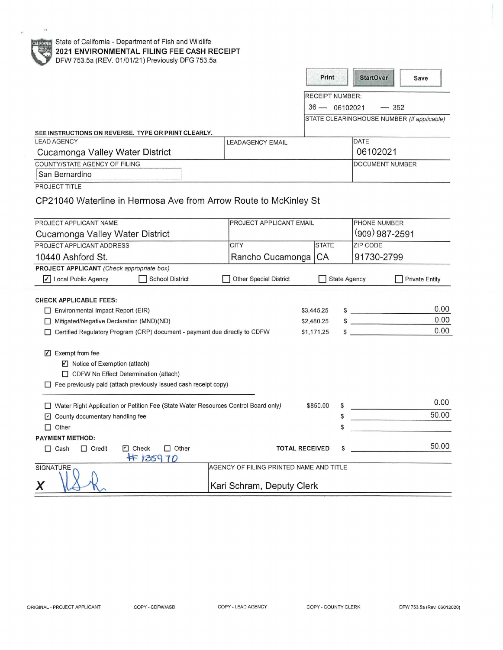| State of California - Department of Fish and Wildlife<br><b>CALIFORNIA</b><br>2021 ENVIRONMENTAL FILING FEE CASH RECEIPT |                                         |                        |                     |                                            |
|--------------------------------------------------------------------------------------------------------------------------|-----------------------------------------|------------------------|---------------------|--------------------------------------------|
| DFW 753.5a (REV. 01/01/21) Previously DFG 753.5a                                                                         |                                         | Print                  |                     | <b>StartOver</b><br>Save                   |
|                                                                                                                          |                                         | <b>RECEIPT NUMBER:</b> |                     |                                            |
|                                                                                                                          |                                         | 36 - 06102021          |                     | $-352$                                     |
|                                                                                                                          |                                         |                        |                     | STATE CLEARINGHOUSE NUMBER (If applicable) |
|                                                                                                                          |                                         |                        |                     |                                            |
| SEE INSTRUCTIONS ON REVERSE. TYPE OR PRINT CLEARLY.<br><b>LEAD AGENCY</b>                                                | <b>LEADAGENCY EMAIL</b>                 |                        |                     | <b>DATE</b>                                |
| Cucamonga Valley Water District                                                                                          |                                         |                        |                     | 06102021                                   |
| COUNTY/STATE AGENCY OF FILING                                                                                            |                                         |                        |                     | DOCUMENT NUMBER                            |
| San Bernardino                                                                                                           |                                         |                        |                     |                                            |
| PROJECT TITLE                                                                                                            |                                         |                        |                     |                                            |
|                                                                                                                          |                                         |                        |                     |                                            |
| CP21040 Waterline in Hermosa Ave from Arrow Route to McKinley St                                                         |                                         |                        |                     |                                            |
| PROJECT APPLICANT NAME                                                                                                   |                                         |                        |                     | PHONE NUMBER                               |
|                                                                                                                          | PROJECT APPLICANT EMAIL                 |                        |                     | $(909)$ 987-2591                           |
| Cucamonga Valley Water District<br>PROJECT APPLICANT ADDRESS                                                             | <b>CITY</b>                             | <b>STATE</b>           |                     | <b>ZIP CODE</b>                            |
|                                                                                                                          |                                         |                        |                     |                                            |
| 10440 Ashford St.                                                                                                        | Rancho Cucamonga                        | CA                     |                     | 91730-2799                                 |
| <b>PROJECT APPLICANT</b> (Check appropriate box)<br>√ Local Public Agency<br><b>School District</b>                      | <b>Other Special District</b>           |                        | <b>State Agency</b> | <b>Private Entity</b>                      |
|                                                                                                                          |                                         |                        |                     |                                            |
| <b>CHECK APPLICABLE FEES:</b>                                                                                            |                                         |                        |                     |                                            |
| Environmental Impact Report (EIR)                                                                                        |                                         | \$3,445.25             |                     | 0.00<br>and the second con-                |
| Mitigated/Negative Declaration (MND)(ND)<br>$\Box$                                                                       |                                         | \$2,480.25             |                     | 0.00                                       |
| Certified Regulatory Program (CRP) document - payment due directly to CDFW                                               |                                         | \$1,171.25             |                     | 0.00                                       |
|                                                                                                                          |                                         |                        |                     |                                            |
| $\boxtimes$ Exempt from fee                                                                                              |                                         |                        |                     |                                            |
| ☑ Notice of Exemption (attach)                                                                                           |                                         |                        |                     |                                            |
| CDFW No Effect Determination (attach)                                                                                    |                                         |                        |                     |                                            |
| $\Box$ Fee previously paid (attach previously issued cash receipt copy)                                                  |                                         |                        |                     |                                            |
|                                                                                                                          |                                         |                        |                     | 0.00                                       |
| □ Water Right Application or Petition Fee (State Water Resources Control Board only)                                     |                                         | \$850.00               |                     |                                            |
| $\lceil$ County documentary handling fee                                                                                 |                                         |                        |                     | 50.00                                      |
| $\Box$ Other                                                                                                             |                                         |                        | \$                  |                                            |
| <b>PAYMENT METHOD:</b>                                                                                                   |                                         |                        |                     | 50.00                                      |
| $\Box$ Check<br>$\Box$ Other<br>$\Box$ Cash<br>$\Box$ Credit<br>#135970                                                  |                                         | <b>TOTAL RECEIVED</b>  | \$                  |                                            |
| SIGNATURE                                                                                                                | AGENCY OF FILING PRINTED NAME AND TITLE |                        |                     |                                            |
|                                                                                                                          |                                         |                        |                     |                                            |
| Χ                                                                                                                        | Kari Schram, Deputy Clerk               |                        |                     |                                            |

 $\sigma$  =  $\sigma$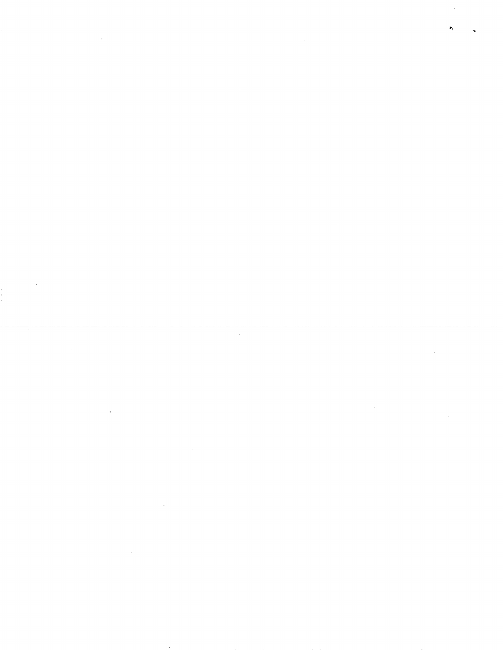Ŋ 

 $\bar{\beta}$ 

 $\label{eq:2.1} \mathcal{L}(\mathcal{A}) = \mathcal{L}(\mathcal{A}) = \mathcal{L}(\mathcal{A})$  $\mathcal{L}(\mathcal{L})$  and  $\mathcal{L}(\mathcal{L})$  . The set of  $\mathcal{L}(\mathcal{L})$ 

 $\label{eq:2.1} \frac{1}{\sqrt{2}}\int_{\mathbb{R}^3}\frac{1}{\sqrt{2}}\left(\frac{1}{\sqrt{2}}\right)^2\frac{1}{\sqrt{2}}\left(\frac{1}{\sqrt{2}}\right)^2\frac{1}{\sqrt{2}}\left(\frac{1}{\sqrt{2}}\right)^2.$  $\label{eq:2.1} \frac{1}{\sqrt{2}}\int_{0}^{\infty}\frac{1}{\sqrt{2\pi}}\left(\frac{1}{\sqrt{2\pi}}\right)^{2\alpha} \frac{1}{\sqrt{2\pi}}\int_{0}^{\infty}\frac{1}{\sqrt{2\pi}}\left(\frac{1}{\sqrt{2\pi}}\right)^{\alpha} \frac{1}{\sqrt{2\pi}}\frac{1}{\sqrt{2\pi}}\int_{0}^{\infty}\frac{1}{\sqrt{2\pi}}\frac{1}{\sqrt{2\pi}}\frac{1}{\sqrt{2\pi}}\frac{1}{\sqrt{2\pi}}\frac{1}{\sqrt{2\pi}}\frac{1}{\sqrt{2\pi}}$ 

 $\mathcal{L}(\mathcal{L}^{\mathcal{L}})$  and  $\mathcal{L}(\mathcal{L}^{\mathcal{L}})$  and  $\mathcal{L}(\mathcal{L}^{\mathcal{L}})$  and  $\mathcal{L}(\mathcal{L}^{\mathcal{L}})$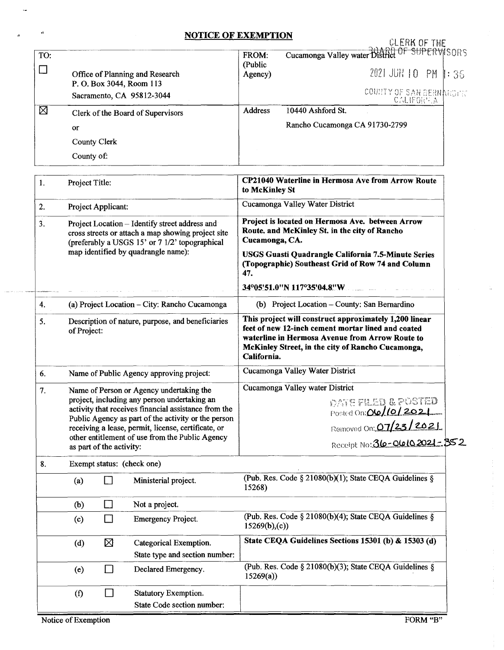## **NOTICE OF EXEMPTION**

|     |                                                             | NUTIUE UP EAENIFTIUN | CLERK OF THE                                   |
|-----|-------------------------------------------------------------|----------------------|------------------------------------------------|
| TO: |                                                             | FROM:                | Cucamonga Valley water District OF SUPERVISORS |
|     | Office of Planning and Research<br>P. O. Box 3044, Room 113 | (Public<br>Agency)   | 2021 JUN 10 PM 1:36                            |
|     | Sacramento, CA 95812-3044                                   |                      | COUNTY OF SAN BERNARGING<br>CALIFORTIA         |
| ⊠   | Clerk of the Board of Supervisors                           | Address              | 10440 Ashford St.                              |
|     | <b>or</b>                                                   |                      | Rancho Cucamonga CA 91730-2799                 |
|     | County Clerk                                                |                      |                                                |
|     | County of:                                                  |                      |                                                |

| 1.               | Project Title:                                                                                                                                                                                                                                                                                                                                |                    |                                                          | CP21040 Waterline in Hermosa Ave from Arrow Route<br>to McKinley St                                                                                                                                                                                                         |  |
|------------------|-----------------------------------------------------------------------------------------------------------------------------------------------------------------------------------------------------------------------------------------------------------------------------------------------------------------------------------------------|--------------------|----------------------------------------------------------|-----------------------------------------------------------------------------------------------------------------------------------------------------------------------------------------------------------------------------------------------------------------------------|--|
| 2.               |                                                                                                                                                                                                                                                                                                                                               | Project Applicant: |                                                          | Cucamonga Valley Water District                                                                                                                                                                                                                                             |  |
| $\overline{3}$ . | Project Location - Identify street address and<br>cross streets or attach a map showing project site<br>(preferably a USGS 15' or 7 1/2' topographical<br>map identified by quadrangle name):                                                                                                                                                 |                    |                                                          | Project is located on Hermosa Ave. between Arrow<br>Route. and McKinley St. in the city of Rancho<br>Cucamonga, CA.<br><b>USGS Guasti Quadrangle California 7.5-Minute Series</b><br>(Topographic) Southeast Grid of Row 74 and Column<br>47.<br>34°05'51.0"N 117°35'04.8"W |  |
| 4.               |                                                                                                                                                                                                                                                                                                                                               |                    |                                                          | (b) Project Location - County: San Bernardino                                                                                                                                                                                                                               |  |
| 5.               | (a) Project Location - City: Rancho Cucamonga<br>Description of nature, purpose, and beneficiaries<br>of Project:                                                                                                                                                                                                                             |                    |                                                          | This project will construct approximately 1,200 linear<br>feet of new 12-inch cement mortar lined and coated<br>waterline in Hermosa Avenue from Arrow Route to<br>McKinley Street, in the city of Rancho Cucamonga,<br>California.                                         |  |
| 6.               | Name of Public Agency approving project:                                                                                                                                                                                                                                                                                                      |                    |                                                          | Cucamonga Valley Water District                                                                                                                                                                                                                                             |  |
| 7.               | Name of Person or Agency undertaking the<br>project, including any person undertaking an<br>activity that receives financial assistance from the<br>Public Agency as part of the activity or the person<br>receiving a lease, permit, license, certificate, or<br>other entitlement of use from the Public Agency<br>as part of the activity: |                    |                                                          | Cucamonga Valley water District<br>DATE FILED & POSTED<br>Posted On: <u>Olo / / O / 2021</u><br>Removed On: 07/23/2021<br>Receipt No: 36 - 0610 2021 - 352                                                                                                                  |  |
| 8.               | Exempt status: (check one)                                                                                                                                                                                                                                                                                                                    |                    |                                                          |                                                                                                                                                                                                                                                                             |  |
|                  | (a)                                                                                                                                                                                                                                                                                                                                           |                    | Ministerial project.                                     | (Pub. Res. Code § 21080(b)(1); State CEQA Guidelines §<br>15268)                                                                                                                                                                                                            |  |
|                  | (b)                                                                                                                                                                                                                                                                                                                                           | $\Box$             | Not a project.                                           |                                                                                                                                                                                                                                                                             |  |
|                  | (c)                                                                                                                                                                                                                                                                                                                                           | П                  | <b>Emergency Project.</b>                                | (Pub. Res. Code § 21080(b)(4); State CEQA Guidelines §<br>15269(b),(c))                                                                                                                                                                                                     |  |
|                  | (d)                                                                                                                                                                                                                                                                                                                                           | $\boxtimes$        | Categorical Exemption.<br>State type and section number: | State CEQA Guidelines Sections 15301 (b) & 15303 (d)                                                                                                                                                                                                                        |  |
|                  | (e)                                                                                                                                                                                                                                                                                                                                           | $\mathbf{L}$       | Declared Emergency.                                      | (Pub. Res. Code § 21080(b)(3); State CEQA Guidelines §<br>15269(a)                                                                                                                                                                                                          |  |
|                  | (f)                                                                                                                                                                                                                                                                                                                                           | $\Box$             | Statutory Exemption.<br>State Code section number:       |                                                                                                                                                                                                                                                                             |  |

Notice of Exemption FORM "B"

 $\ddot{\phantom{a}}$ 

ń

÷.

 $\frac{1}{4}$